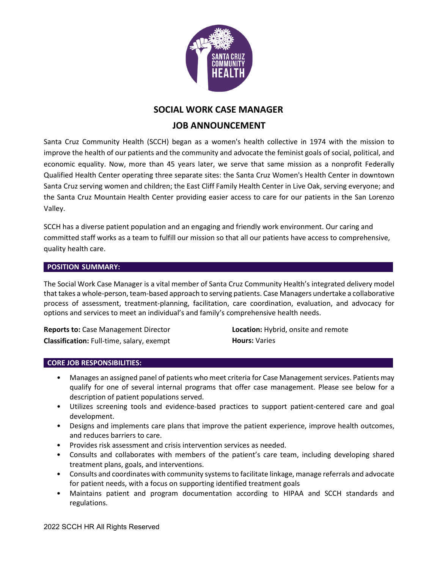

## **SOCIAL WORK CASE MANAGER**

# **JOB ANNOUNCEMENT**

Santa Cruz Community Health (SCCH) began as a women's health collective in 1974 with the mission to improve the health of our patients and the community and advocate the feminist goals of social, political, and economic equality. Now, more than 45 years later, we serve that same mission as a nonprofit Federally Qualified Health Center operating three separate sites: the Santa Cruz Women's Health Center in downtown Santa Cruz serving women and children; the East Cliff Family Health Center in Live Oak, serving everyone; and the Santa Cruz Mountain Health Center providing easier access to care for our patients in the San Lorenzo Valley.

SCCH has a diverse patient population and an engaging and friendly work environment. Our caring and committed staff works as a team to fulfill our mission so that all our patients have access to comprehensive, quality health care.

### **POSITION SUMMARY:**

The Social Work Case Manager is a vital member of Santa Cruz Community Health's integrated delivery model that takes a whole-person, team-based approach to serving patients. Case Managers undertake a collaborative process of assessment, treatment-planning, facilitation, care coordination, evaluation, and advocacy for options and services to meet an individual's and family's comprehensive health needs.

**Reports to:** Case Management Director **Classification:** Full-time, salary, exempt **Location:** Hybrid, onsite and remote **Hours:** Varies

#### **CORE JOB RESPONSIBILITIES:**

- Manages an assigned panel of patients who meet criteria for Case Management services. Patients may qualify for one of several internal programs that offer case management. Please see below for a description of patient populations served.
- Utilizes screening tools and evidence-based practices to support patient-centered care and goal development.
- Designs and implements care plans that improve the patient experience, improve health outcomes, and reduces barriers to care.
- Provides risk assessment and crisis intervention services as needed.
- Consults and collaborates with members of the patient's care team, including developing shared treatment plans, goals, and interventions.
- Consults and coordinates with community systems to facilitate linkage, manage referrals and advocate for patient needs, with a focus on supporting identified treatment goals
- Maintains patient and program documentation according to HIPAA and SCCH standards and regulations.

2022 SCCH HR All Rights Reserved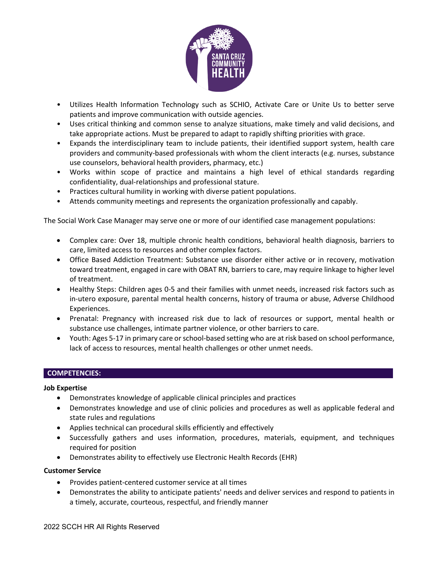

- Utilizes Health Information Technology such as SCHIO, Activate Care or Unite Us to better serve patients and improve communication with outside agencies.
- Uses critical thinking and common sense to analyze situations, make timely and valid decisions, and take appropriate actions. Must be prepared to adapt to rapidly shifting priorities with grace.
- Expands the interdisciplinary team to include patients, their identified support system, health care providers and community-based professionals with whom the client interacts (e.g. nurses, substance use counselors, behavioral health providers, pharmacy, etc.)
- Works within scope of practice and maintains a high level of ethical standards regarding confidentiality, dual-relationships and professional stature.
- Practices cultural humility in working with diverse patient populations.
- Attends community meetings and represents the organization professionally and capably.

The Social Work Case Manager may serve one or more of our identified case management populations:

- Complex care: Over 18, multiple chronic health conditions, behavioral health diagnosis, barriers to care, limited access to resources and other complex factors.
- Office Based Addiction Treatment: Substance use disorder either active or in recovery, motivation toward treatment, engaged in care with OBAT RN, barriers to care, may require linkage to higher level of treatment.
- Healthy Steps: Children ages 0-5 and their families with unmet needs, increased risk factors such as in-utero exposure, parental mental health concerns, history of trauma or abuse, Adverse Childhood Experiences.
- Prenatal: Pregnancy with increased risk due to lack of resources or support, mental health or substance use challenges, intimate partner violence, or other barriers to care.
- Youth: Ages 5-17 in primary care or school-based setting who are at risk based on school performance, lack of access to resources, mental health challenges or other unmet needs.

#### **COMPETENCIES:**

#### **Job Expertise**

- Demonstrates knowledge of applicable clinical principles and practices
- Demonstrates knowledge and use of clinic policies and procedures as well as applicable federal and state rules and regulations
- Applies technical can procedural skills efficiently and effectively
- Successfully gathers and uses information, procedures, materials, equipment, and techniques required for position
- Demonstrates ability to effectively use Electronic Health Records (EHR)

#### **Customer Service**

- Provides patient-centered customer service at all times
- Demonstrates the ability to anticipate patients' needs and deliver services and respond to patients in a timely, accurate, courteous, respectful, and friendly manner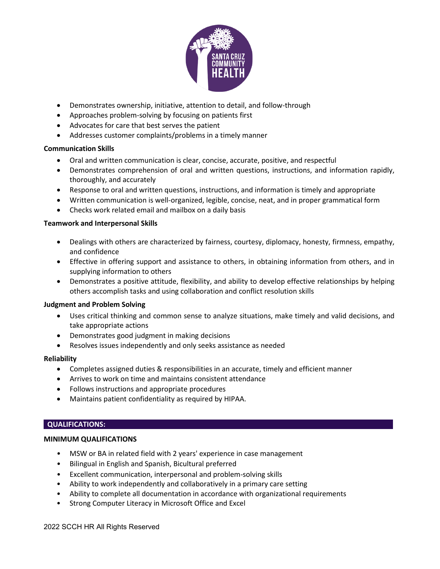

- Demonstrates ownership, initiative, attention to detail, and follow-through
- Approaches problem-solving by focusing on patients first
- Advocates for care that best serves the patient
- Addresses customer complaints/problems in a timely manner

### **Communication Skills**

- Oral and written communication is clear, concise, accurate, positive, and respectful
- Demonstrates comprehension of oral and written questions, instructions, and information rapidly, thoroughly, and accurately
- Response to oral and written questions, instructions, and information is timely and appropriate
- Written communication is well-organized, legible, concise, neat, and in proper grammatical form
- Checks work related email and mailbox on a daily basis

#### **Teamwork and Interpersonal Skills**

- Dealings with others are characterized by fairness, courtesy, diplomacy, honesty, firmness, empathy, and confidence
- Effective in offering support and assistance to others, in obtaining information from others, and in supplying information to others
- Demonstrates a positive attitude, flexibility, and ability to develop effective relationships by helping others accomplish tasks and using collaboration and conflict resolution skills

#### **Judgment and Problem Solving**

- Uses critical thinking and common sense to analyze situations, make timely and valid decisions, and take appropriate actions
- Demonstrates good judgment in making decisions
- Resolves issues independently and only seeks assistance as needed

#### **Reliability**

- Completes assigned duties & responsibilities in an accurate, timely and efficient manner
- Arrives to work on time and maintains consistent attendance
- Follows instructions and appropriate procedures
- Maintains patient confidentiality as required by HIPAA.

#### **QUALIFICATIONS:**

#### **MINIMUM QUALIFICATIONS**

- MSW or BA in related field with 2 years' experience in case management
- Bilingual in English and Spanish, Bicultural preferred
- Excellent communication, interpersonal and problem-solving skills
- Ability to work independently and collaboratively in a primary care setting
- Ability to complete all documentation in accordance with organizational requirements
- Strong Computer Literacy in Microsoft Office and Excel